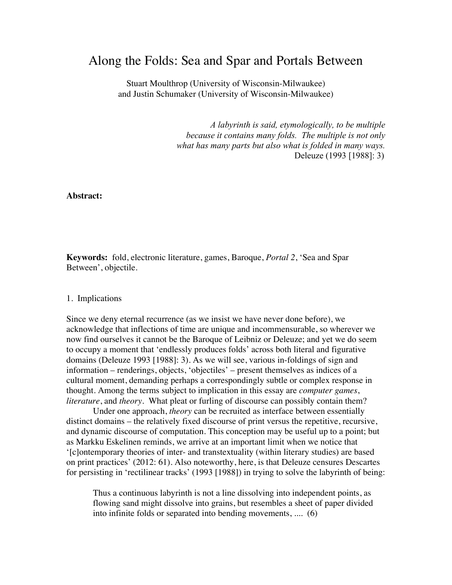# Along the Folds: Sea and Spar and Portals Between

Stuart Moulthrop (University of Wisconsin-Milwaukee) and Justin Schumaker (University of Wisconsin-Milwaukee)

> *A labyrinth is said, etymologically, to be multiple because it contains many folds. The multiple is not only what has many parts but also what is folded in many ways.* Deleuze (1993 [1988]: 3)

**Abstract:**

**Keywords:** fold, electronic literature, games, Baroque, *Portal 2*, 'Sea and Spar Between', objectile.

#### 1. Implications

Since we deny eternal recurrence (as we insist we have never done before), we acknowledge that inflections of time are unique and incommensurable, so wherever we now find ourselves it cannot be the Baroque of Leibniz or Deleuze; and yet we do seem to occupy a moment that 'endlessly produces folds' across both literal and figurative domains (Deleuze 1993 [1988]: 3). As we will see, various in-foldings of sign and information – renderings, objects, 'objectiles' – present themselves as indices of a cultural moment, demanding perhaps a correspondingly subtle or complex response in thought. Among the terms subject to implication in this essay are *computer games*, *literature*, and *theory*. What pleat or furling of discourse can possibly contain them?

Under one approach, *theory* can be recruited as interface between essentially distinct domains – the relatively fixed discourse of print versus the repetitive, recursive, and dynamic discourse of computation. This conception may be useful up to a point; but as Markku Eskelinen reminds, we arrive at an important limit when we notice that '[c]ontemporary theories of inter- and transtextuality (within literary studies) are based on print practices' (2012: 61). Also noteworthy, here, is that Deleuze censures Descartes for persisting in 'rectilinear tracks' (1993 [1988]) in trying to solve the labyrinth of being:

Thus a continuous labyrinth is not a line dissolving into independent points, as flowing sand might dissolve into grains, but resembles a sheet of paper divided into infinite folds or separated into bending movements, .... (6)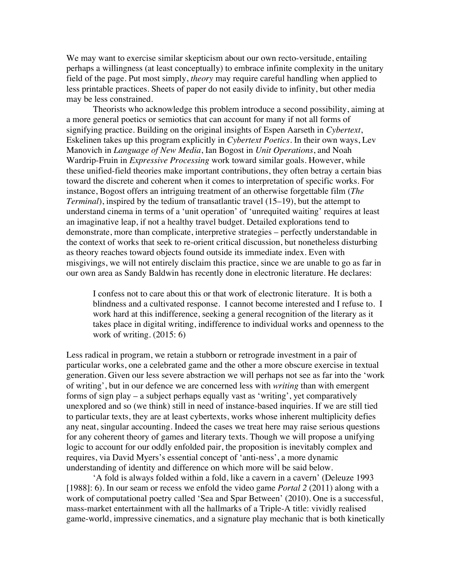We may want to exercise similar skepticism about our own recto-versitude, entailing perhaps a willingness (at least conceptually) to embrace infinite complexity in the unitary field of the page. Put most simply, *theory* may require careful handling when applied to less printable practices. Sheets of paper do not easily divide to infinity, but other media may be less constrained.

Theorists who acknowledge this problem introduce a second possibility, aiming at a more general poetics or semiotics that can account for many if not all forms of signifying practice. Building on the original insights of Espen Aarseth in *Cybertext*, Eskelinen takes up this program explicitly in *Cybertext Poetics*. In their own ways, Lev Manovich in *Language of New Media*, Ian Bogost in *Unit Operations*, and Noah Wardrip-Fruin in *Expressive Processing* work toward similar goals. However, while these unified-field theories make important contributions, they often betray a certain bias toward the discrete and coherent when it comes to interpretation of specific works. For instance, Bogost offers an intriguing treatment of an otherwise forgettable film (*The Terminal*), inspired by the tedium of transatlantic travel (15–19), but the attempt to understand cinema in terms of a 'unit operation' of 'unrequited waiting' requires at least an imaginative leap, if not a healthy travel budget. Detailed explorations tend to demonstrate, more than complicate, interpretive strategies – perfectly understandable in the context of works that seek to re-orient critical discussion, but nonetheless disturbing as theory reaches toward objects found outside its immediate index. Even with misgivings, we will not entirely disclaim this practice, since we are unable to go as far in our own area as Sandy Baldwin has recently done in electronic literature. He declares:

I confess not to care about this or that work of electronic literature. It is both a blindness and a cultivated response. I cannot become interested and I refuse to. I work hard at this indifference, seeking a general recognition of the literary as it takes place in digital writing, indifference to individual works and openness to the work of writing. (2015: 6)

Less radical in program, we retain a stubborn or retrograde investment in a pair of particular works, one a celebrated game and the other a more obscure exercise in textual generation. Given our less severe abstraction we will perhaps not see as far into the 'work of writing', but in our defence we are concerned less with *writing* than with emergent forms of sign play – a subject perhaps equally vast as 'writing', yet comparatively unexplored and so (we think) still in need of instance-based inquiries. If we are still tied to particular texts, they are at least cybertexts, works whose inherent multiplicity defies any neat, singular accounting. Indeed the cases we treat here may raise serious questions for any coherent theory of games and literary texts. Though we will propose a unifying logic to account for our oddly enfolded pair, the proposition is inevitably complex and requires, via David Myers's essential concept of 'anti-ness', a more dynamic understanding of identity and difference on which more will be said below.

'A fold is always folded within a fold, like a cavern in a cavern' (Deleuze 1993 [1988]: 6). In our seam or recess we enfold the video game *Portal 2* (2011) along with a work of computational poetry called 'Sea and Spar Between' (2010). One is a successful, mass-market entertainment with all the hallmarks of a Triple-A title: vividly realised game-world, impressive cinematics, and a signature play mechanic that is both kinetically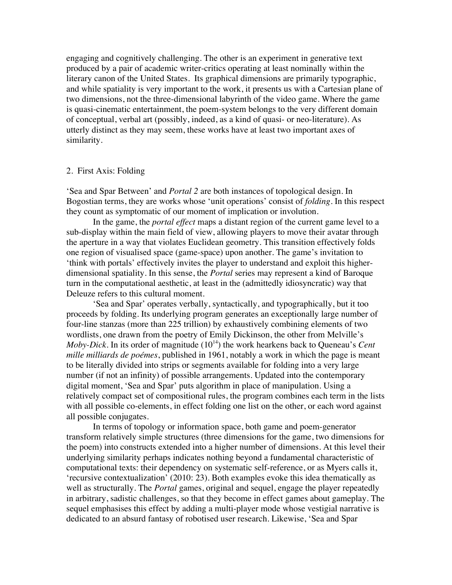engaging and cognitively challenging. The other is an experiment in generative text produced by a pair of academic writer-critics operating at least nominally within the literary canon of the United States. Its graphical dimensions are primarily typographic, and while spatiality is very important to the work, it presents us with a Cartesian plane of two dimensions, not the three-dimensional labyrinth of the video game. Where the game is quasi-cinematic entertainment, the poem-system belongs to the very different domain of conceptual, verbal art (possibly, indeed, as a kind of quasi- or neo-literature). As utterly distinct as they may seem, these works have at least two important axes of similarity.

# 2. First Axis: Folding

'Sea and Spar Between' and *Portal 2* are both instances of topological design. In Bogostian terms, they are works whose 'unit operations' consist of *folding*. In this respect they count as symptomatic of our moment of implication or involution.

In the game, the *portal effect* maps a distant region of the current game level to a sub-display within the main field of view, allowing players to move their avatar through the aperture in a way that violates Euclidean geometry. This transition effectively folds one region of visualised space (game-space) upon another. The game's invitation to 'think with portals' effectively invites the player to understand and exploit this higherdimensional spatiality. In this sense, the *Portal* series may represent a kind of Baroque turn in the computational aesthetic, at least in the (admittedly idiosyncratic) way that Deleuze refers to this cultural moment.

'Sea and Spar' operates verbally, syntactically, and typographically, but it too proceeds by folding. Its underlying program generates an exceptionally large number of four-line stanzas (more than 225 trillion) by exhaustively combining elements of two wordlists, one drawn from the poetry of Emily Dickinson, the other from Melville's *Moby-Dick*. In its order of magnitude (10<sup>14</sup>) the work hearkens back to Queneau's *Cent mille milliards de poémes*, published in 1961, notably a work in which the page is meant to be literally divided into strips or segments available for folding into a very large number (if not an infinity) of possible arrangements. Updated into the contemporary digital moment, 'Sea and Spar' puts algorithm in place of manipulation. Using a relatively compact set of compositional rules, the program combines each term in the lists with all possible co-elements, in effect folding one list on the other, or each word against all possible conjugates.

In terms of topology or information space, both game and poem-generator transform relatively simple structures (three dimensions for the game, two dimensions for the poem) into constructs extended into a higher number of dimensions. At this level their underlying similarity perhaps indicates nothing beyond a fundamental characteristic of computational texts: their dependency on systematic self-reference, or as Myers calls it, 'recursive contextualization' (2010: 23). Both examples evoke this idea thematically as well as structurally. The *Portal* games, original and sequel, engage the player repeatedly in arbitrary, sadistic challenges, so that they become in effect games about gameplay. The sequel emphasises this effect by adding a multi-player mode whose vestigial narrative is dedicated to an absurd fantasy of robotised user research. Likewise, 'Sea and Spar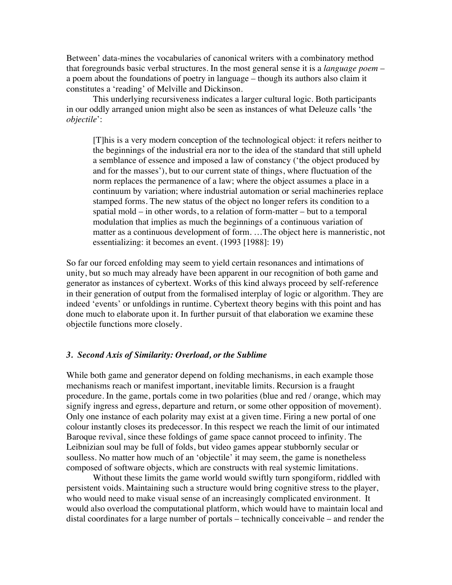Between' data-mines the vocabularies of canonical writers with a combinatory method that foregrounds basic verbal structures. In the most general sense it is a *language poem* – a poem about the foundations of poetry in language – though its authors also claim it constitutes a 'reading' of Melville and Dickinson.

This underlying recursiveness indicates a larger cultural logic. Both participants in our oddly arranged union might also be seen as instances of what Deleuze calls 'the *objectile*':

[T]his is a very modern conception of the technological object: it refers neither to the beginnings of the industrial era nor to the idea of the standard that still upheld a semblance of essence and imposed a law of constancy ('the object produced by and for the masses'), but to our current state of things, where fluctuation of the norm replaces the permanence of a law; where the object assumes a place in a continuum by variation; where industrial automation or serial machineries replace stamped forms. The new status of the object no longer refers its condition to a spatial mold – in other words, to a relation of form-matter – but to a temporal modulation that implies as much the beginnings of a continuous variation of matter as a continuous development of form. …The object here is manneristic, not essentializing: it becomes an event. (1993 [1988]: 19)

So far our forced enfolding may seem to yield certain resonances and intimations of unity, but so much may already have been apparent in our recognition of both game and generator as instances of cybertext. Works of this kind always proceed by self-reference in their generation of output from the formalised interplay of logic or algorithm. They are indeed 'events' or unfoldings in runtime. Cybertext theory begins with this point and has done much to elaborate upon it. In further pursuit of that elaboration we examine these objectile functions more closely.

## *3. Second Axis of Similarity: Overload, or the Sublime*

While both game and generator depend on folding mechanisms, in each example those mechanisms reach or manifest important, inevitable limits. Recursion is a fraught procedure. In the game, portals come in two polarities (blue and red / orange, which may signify ingress and egress, departure and return, or some other opposition of movement). Only one instance of each polarity may exist at a given time. Firing a new portal of one colour instantly closes its predecessor. In this respect we reach the limit of our intimated Baroque revival, since these foldings of game space cannot proceed to infinity. The Leibnizian soul may be full of folds, but video games appear stubbornly secular or soulless. No matter how much of an 'objectile' it may seem, the game is nonetheless composed of software objects, which are constructs with real systemic limitations.

Without these limits the game world would swiftly turn spongiform, riddled with persistent voids. Maintaining such a structure would bring cognitive stress to the player, who would need to make visual sense of an increasingly complicated environment. It would also overload the computational platform, which would have to maintain local and distal coordinates for a large number of portals – technically conceivable – and render the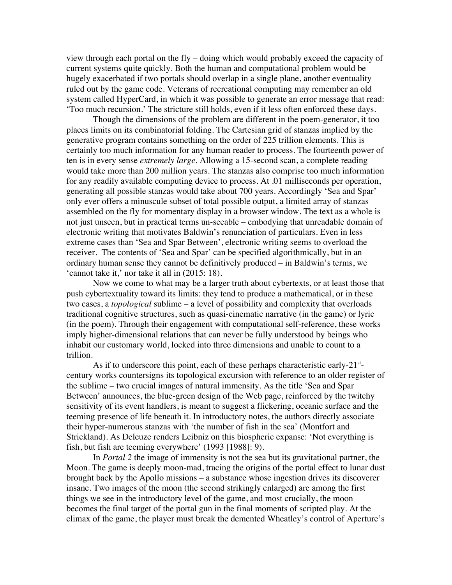view through each portal on the fly – doing which would probably exceed the capacity of current systems quite quickly. Both the human and computational problem would be hugely exacerbated if two portals should overlap in a single plane, another eventuality ruled out by the game code. Veterans of recreational computing may remember an old system called HyperCard, in which it was possible to generate an error message that read: 'Too much recursion.' The stricture still holds, even if it less often enforced these days.

Though the dimensions of the problem are different in the poem-generator, it too places limits on its combinatorial folding. The Cartesian grid of stanzas implied by the generative program contains something on the order of 225 trillion elements. This is certainly too much information for any human reader to process. The fourteenth power of ten is in every sense *extremely large*. Allowing a 15-second scan, a complete reading would take more than 200 million years. The stanzas also comprise too much information for any readily available computing device to process. At .01 milliseconds per operation, generating all possible stanzas would take about 700 years. Accordingly 'Sea and Spar' only ever offers a minuscule subset of total possible output, a limited array of stanzas assembled on the fly for momentary display in a browser window. The text as a whole is not just unseen, but in practical terms un-seeable – embodying that unreadable domain of electronic writing that motivates Baldwin's renunciation of particulars. Even in less extreme cases than 'Sea and Spar Between', electronic writing seems to overload the receiver. The contents of 'Sea and Spar' can be specified algorithmically, but in an ordinary human sense they cannot be definitively produced – in Baldwin's terms, we 'cannot take it,' nor take it all in (2015: 18).

Now we come to what may be a larger truth about cybertexts, or at least those that push cybertextuality toward its limits: they tend to produce a mathematical, or in these two cases, a *topological* sublime – a level of possibility and complexity that overloads traditional cognitive structures, such as quasi-cinematic narrative (in the game) or lyric (in the poem). Through their engagement with computational self-reference, these works imply higher-dimensional relations that can never be fully understood by beings who inhabit our customary world, locked into three dimensions and unable to count to a trillion.

As if to underscore this point, each of these perhaps characteristic early- $21<sup>st</sup>$ century works countersigns its topological excursion with reference to an older register of the sublime – two crucial images of natural immensity. As the title 'Sea and Spar Between' announces, the blue-green design of the Web page, reinforced by the twitchy sensitivity of its event handlers, is meant to suggest a flickering, oceanic surface and the teeming presence of life beneath it. In introductory notes, the authors directly associate their hyper-numerous stanzas with 'the number of fish in the sea' (Montfort and Strickland). As Deleuze renders Leibniz on this biospheric expanse: 'Not everything is fish, but fish are teeming everywhere' (1993 [1988]: 9).

In *Portal 2* the image of immensity is not the sea but its gravitational partner, the Moon. The game is deeply moon-mad, tracing the origins of the portal effect to lunar dust brought back by the Apollo missions – a substance whose ingestion drives its discoverer insane. Two images of the moon (the second strikingly enlarged) are among the first things we see in the introductory level of the game, and most crucially, the moon becomes the final target of the portal gun in the final moments of scripted play. At the climax of the game, the player must break the demented Wheatley's control of Aperture's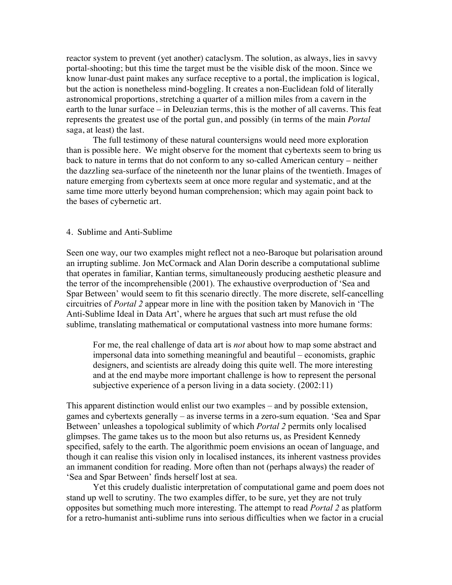reactor system to prevent (yet another) cataclysm. The solution, as always, lies in savvy portal-shooting; but this time the target must be the visible disk of the moon. Since we know lunar-dust paint makes any surface receptive to a portal, the implication is logical, but the action is nonetheless mind-boggling. It creates a non-Euclidean fold of literally astronomical proportions, stretching a quarter of a million miles from a cavern in the earth to the lunar surface – in Deleuzian terms, this is the mother of all caverns. This feat represents the greatest use of the portal gun, and possibly (in terms of the main *Portal* saga, at least) the last.

The full testimony of these natural countersigns would need more exploration than is possible here. We might observe for the moment that cybertexts seem to bring us back to nature in terms that do not conform to any so-called American century – neither the dazzling sea-surface of the nineteenth nor the lunar plains of the twentieth. Images of nature emerging from cybertexts seem at once more regular and systematic, and at the same time more utterly beyond human comprehension; which may again point back to the bases of cybernetic art.

## 4. Sublime and Anti-Sublime

Seen one way, our two examples might reflect not a neo-Baroque but polarisation around an irrupting sublime. Jon McCormack and Alan Dorin describe a computational sublime that operates in familiar, Kantian terms, simultaneously producing aesthetic pleasure and the terror of the incomprehensible (2001). The exhaustive overproduction of 'Sea and Spar Between' would seem to fit this scenario directly. The more discrete, self-cancelling circuitries of *Portal 2* appear more in line with the position taken by Manovich in 'The Anti-Sublime Ideal in Data Art', where he argues that such art must refuse the old sublime, translating mathematical or computational vastness into more humane forms:

For me, the real challenge of data art is *not* about how to map some abstract and impersonal data into something meaningful and beautiful – economists, graphic designers, and scientists are already doing this quite well. The more interesting and at the end maybe more important challenge is how to represent the personal subjective experience of a person living in a data society. (2002:11)

This apparent distinction would enlist our two examples – and by possible extension, games and cybertexts generally – as inverse terms in a zero-sum equation. 'Sea and Spar Between' unleashes a topological sublimity of which *Portal 2* permits only localised glimpses. The game takes us to the moon but also returns us, as President Kennedy specified, safely to the earth. The algorithmic poem envisions an ocean of language, and though it can realise this vision only in localised instances, its inherent vastness provides an immanent condition for reading. More often than not (perhaps always) the reader of 'Sea and Spar Between' finds herself lost at sea.

Yet this crudely dualistic interpretation of computational game and poem does not stand up well to scrutiny. The two examples differ, to be sure, yet they are not truly opposites but something much more interesting. The attempt to read *Portal 2* as platform for a retro-humanist anti-sublime runs into serious difficulties when we factor in a crucial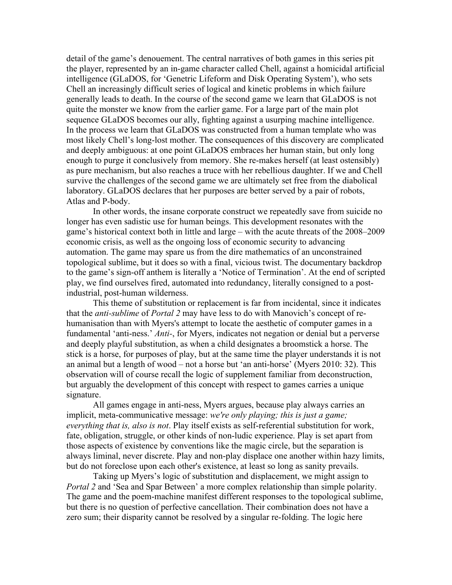detail of the game's denouement. The central narratives of both games in this series pit the player, represented by an in-game character called Chell, against a homicidal artificial intelligence (GLaDOS, for 'Genetric Lifeform and Disk Operating System'), who sets Chell an increasingly difficult series of logical and kinetic problems in which failure generally leads to death. In the course of the second game we learn that GLaDOS is not quite the monster we know from the earlier game. For a large part of the main plot sequence GLaDOS becomes our ally, fighting against a usurping machine intelligence. In the process we learn that GLaDOS was constructed from a human template who was most likely Chell's long-lost mother. The consequences of this discovery are complicated and deeply ambiguous: at one point GLaDOS embraces her human stain, but only long enough to purge it conclusively from memory. She re-makes herself (at least ostensibly) as pure mechanism, but also reaches a truce with her rebellious daughter. If we and Chell survive the challenges of the second game we are ultimately set free from the diabolical laboratory. GLaDOS declares that her purposes are better served by a pair of robots, Atlas and P-body.

In other words, the insane corporate construct we repeatedly save from suicide no longer has even sadistic use for human beings. This development resonates with the game's historical context both in little and large – with the acute threats of the 2008–2009 economic crisis, as well as the ongoing loss of economic security to advancing automation. The game may spare us from the dire mathematics of an unconstrained topological sublime, but it does so with a final, vicious twist. The documentary backdrop to the game's sign-off anthem is literally a 'Notice of Termination'. At the end of scripted play, we find ourselves fired, automated into redundancy, literally consigned to a postindustrial, post-human wilderness.

This theme of substitution or replacement is far from incidental, since it indicates that the *anti-sublime* of *Portal 2* may have less to do with Manovich's concept of rehumanisation than with Myers's attempt to locate the aesthetic of computer games in a fundamental 'anti-ness.' *Anti-*, for Myers, indicates not negation or denial but a perverse and deeply playful substitution, as when a child designates a broomstick a horse. The stick is a horse, for purposes of play, but at the same time the player understands it is not an animal but a length of wood – not a horse but 'an anti-horse' (Myers 2010: 32). This observation will of course recall the logic of supplement familiar from deconstruction, but arguably the development of this concept with respect to games carries a unique signature.

All games engage in anti-ness, Myers argues, because play always carries an implicit, meta-communicative message: *we're only playing; this is just a game; everything that is, also is not*. Play itself exists as self-referential substitution for work, fate, obligation, struggle, or other kinds of non-ludic experience. Play is set apart from those aspects of existence by conventions like the magic circle, but the separation is always liminal, never discrete. Play and non-play displace one another within hazy limits, but do not foreclose upon each other's existence, at least so long as sanity prevails.

Taking up Myers's logic of substitution and displacement, we might assign to *Portal 2* and 'Sea and Spar Between' a more complex relationship than simple polarity. The game and the poem-machine manifest different responses to the topological sublime, but there is no question of perfective cancellation. Their combination does not have a zero sum; their disparity cannot be resolved by a singular re-folding. The logic here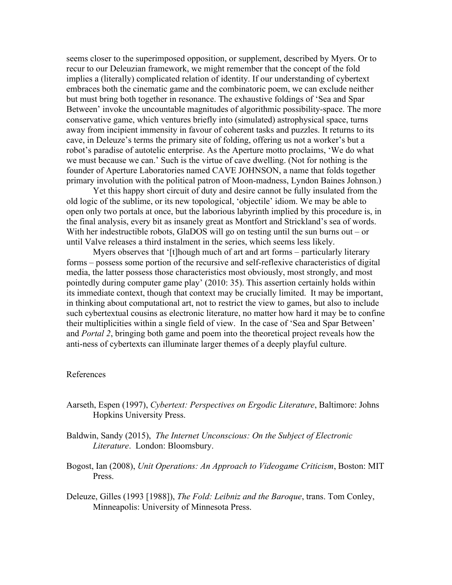seems closer to the superimposed opposition, or supplement, described by Myers. Or to recur to our Deleuzian framework, we might remember that the concept of the fold implies a (literally) complicated relation of identity. If our understanding of cybertext embraces both the cinematic game and the combinatoric poem, we can exclude neither but must bring both together in resonance. The exhaustive foldings of 'Sea and Spar Between' invoke the uncountable magnitudes of algorithmic possibility-space. The more conservative game, which ventures briefly into (simulated) astrophysical space, turns away from incipient immensity in favour of coherent tasks and puzzles. It returns to its cave, in Deleuze's terms the primary site of folding, offering us not a worker's but a robot's paradise of autotelic enterprise. As the Aperture motto proclaims, 'We do what we must because we can.' Such is the virtue of cave dwelling. (Not for nothing is the founder of Aperture Laboratories named CAVE JOHNSON, a name that folds together primary involution with the political patron of Moon-madness, Lyndon Baines Johnson.)

Yet this happy short circuit of duty and desire cannot be fully insulated from the old logic of the sublime, or its new topological, 'objectile' idiom. We may be able to open only two portals at once, but the laborious labyrinth implied by this procedure is, in the final analysis, every bit as insanely great as Montfort and Strickland's sea of words. With her indestructible robots, GlaDOS will go on testing until the sun burns out – or until Valve releases a third instalment in the series, which seems less likely.

Myers observes that '[t]hough much of art and art forms – particularly literary forms – possess some portion of the recursive and self-reflexive characteristics of digital media, the latter possess those characteristics most obviously, most strongly, and most pointedly during computer game play' (2010: 35). This assertion certainly holds within its immediate context, though that context may be crucially limited. It may be important, in thinking about computational art, not to restrict the view to games, but also to include such cybertextual cousins as electronic literature, no matter how hard it may be to confine their multiplicities within a single field of view. In the case of 'Sea and Spar Between' and *Portal 2*, bringing both game and poem into the theoretical project reveals how the anti-ness of cybertexts can illuminate larger themes of a deeply playful culture.

#### References

- Aarseth, Espen (1997), *Cybertext: Perspectives on Ergodic Literature*, Baltimore: Johns Hopkins University Press.
- Baldwin, Sandy (2015), *The Internet Unconscious: On the Subject of Electronic Literature*. London: Bloomsbury.
- Bogost, Ian (2008), *Unit Operations: An Approach to Videogame Criticism*, Boston: MIT Press.
- Deleuze, Gilles (1993 [1988]), *The Fold: Leibniz and the Baroque*, trans. Tom Conley, Minneapolis: University of Minnesota Press.